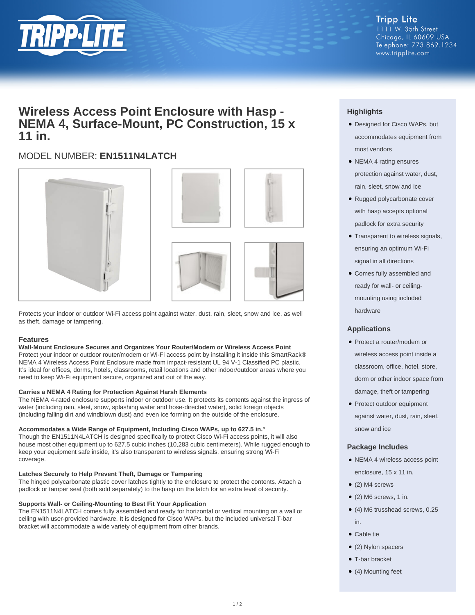

## **Wireless Access Point Enclosure with Hasp - NEMA 4, Surface-Mount, PC Construction, 15 x 11 in.**

### MODEL NUMBER: **EN1511N4LATCH**







Protects your indoor or outdoor Wi-Fi access point against water, dust, rain, sleet, snow and ice, as well as theft, damage or tampering.

#### **Features**

#### **Wall-Mount Enclosure Secures and Organizes Your Router/Modem or Wireless Access Point**

Protect your indoor or outdoor router/modem or Wi-Fi access point by installing it inside this SmartRack® NEMA 4 Wireless Access Point Enclosure made from impact-resistant UL 94 V-1 Classified PC plastic. It's ideal for offices, dorms, hotels, classrooms, retail locations and other indoor/outdoor areas where you need to keep Wi-Fi equipment secure, organized and out of the way.

#### **Carries a NEMA 4 Rating for Protection Against Harsh Elements**

The NEMA 4-rated enclosure supports indoor or outdoor use. It protects its contents against the ingress of water (including rain, sleet, snow, splashing water and hose-directed water), solid foreign objects (including falling dirt and windblown dust) and even ice forming on the outside of the enclosure.

#### **Accommodates a Wide Range of Equipment, Including Cisco WAPs, up to 627.5 in.³**

Though the EN1511N4LATCH is designed specifically to protect Cisco Wi-Fi access points, it will also house most other equipment up to 627.5 cubic inches (10,283 cubic centimeters). While rugged enough to keep your equipment safe inside, it's also transparent to wireless signals, ensuring strong Wi-Fi coverage.

#### **Latches Securely to Help Prevent Theft, Damage or Tampering**

The hinged polycarbonate plastic cover latches tightly to the enclosure to protect the contents. Attach a padlock or tamper seal (both sold separately) to the hasp on the latch for an extra level of security.

#### **Supports Wall- or Ceiling-Mounting to Best Fit Your Application**

The EN1511N4LATCH comes fully assembled and ready for horizontal or vertical mounting on a wall or ceiling with user-provided hardware. It is designed for Cisco WAPs, but the included universal T-bar bracket will accommodate a wide variety of equipment from other brands.

#### **Highlights**

- Designed for Cisco WAPs, but accommodates equipment from most vendors
- NEMA 4 rating ensures protection against water, dust, rain, sleet, snow and ice
- Rugged polycarbonate cover with hasp accepts optional padlock for extra security
- Transparent to wireless signals, ensuring an optimum Wi-Fi signal in all directions
- Comes fully assembled and ready for wall- or ceilingmounting using included hardware

#### **Applications**

- Protect a router/modem or wireless access point inside a classroom, office, hotel, store, dorm or other indoor space from damage, theft or tampering
- Protect outdoor equipment against water, dust, rain, sleet, snow and ice

#### **Package Includes**

- NEMA 4 wireless access point enclosure, 15 x 11 in.
- (2) M4 screws
- $\bullet$  (2) M6 screws, 1 in.
- (4) M6 trusshead screws, 0.25 in.
- Cable tie
- (2) Nylon spacers
- T-bar bracket
- (4) Mounting feet